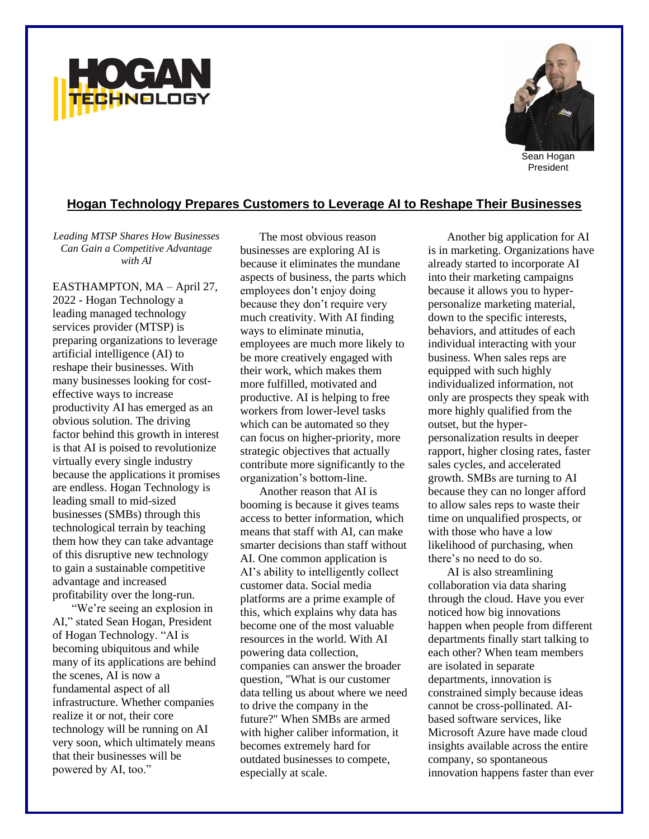



President

## **Hogan Technology Prepares Customers to Leverage AI to Reshape Their Businesses**

*Leading MTSP Shares How Businesses Can Gain a Competitive Advantage with AI*

EASTHAMPTON, MA – April 27, 2022 - Hogan Technology a leading managed technology services provider (MTSP) is preparing organizations to leverage artificial intelligence (AI) to reshape their businesses. With many businesses looking for costeffective ways to increase productivity AI has emerged as an obvious solution. The driving factor behind this growth in interest is that AI is poised to revolutionize virtually every single industry because the applications it promises are endless. Hogan Technology is leading small to mid-sized businesses (SMBs) through this technological terrain by teaching them how they can take advantage of this disruptive new technology to gain a sustainable competitive advantage and increased profitability over the long-run.

"We're seeing an explosion in AI," stated Sean Hogan, President of Hogan Technology. "AI is becoming ubiquitous and while many of its applications are behind the scenes, AI is now a fundamental aspect of all infrastructure. Whether companies realize it or not, their core technology will be running on AI very soon, which ultimately means that their businesses will be powered by AI, too."

The most obvious reason businesses are exploring AI is because it eliminates the mundane aspects of business, the parts which employees don't enjoy doing because they don't require very much creativity. With AI finding ways to eliminate minutia, employees are much more likely to be more creatively engaged with their work, which makes them more fulfilled, motivated and productive. AI is helping to free workers from lower-level tasks which can be automated so they can focus on higher-priority, more strategic objectives that actually contribute more significantly to the organization's bottom-line.

Another reason that AI is booming is because it gives teams access to better information, which means that staff with AI, can make smarter decisions than staff without AI. One common application is AI's ability to intelligently collect customer data. Social media platforms are a prime example of this, which explains why data has become one of the most valuable resources in the world. With AI powering data collection, companies can answer the broader question, "What is our customer data telling us about where we need to drive the company in the future?" When SMBs are armed with higher caliber information, it becomes extremely hard for outdated businesses to compete, especially at scale.

Another big application for AI is in marketing. Organizations have already started to incorporate AI into their marketing campaigns because it allows you to hyperpersonalize marketing material, down to the specific interests, behaviors, and attitudes of each individual interacting with your business. When sales reps are equipped with such highly individualized information, not only are prospects they speak with more highly qualified from the outset, but the hyperpersonalization results in deeper rapport, higher closing rates, faster sales cycles, and accelerated growth. SMBs are turning to AI because they can no longer afford to allow sales reps to waste their time on unqualified prospects, or with those who have a low likelihood of purchasing, when there's no need to do so.

AI is also streamlining collaboration via data sharing through the cloud. Have you ever noticed how big innovations happen when people from different departments finally start talking to each other? When team members are isolated in separate departments, innovation is constrained simply because ideas cannot be cross-pollinated. AIbased software services, like Microsoft Azure have made cloud insights available across the entire company, so spontaneous innovation happens faster than ever